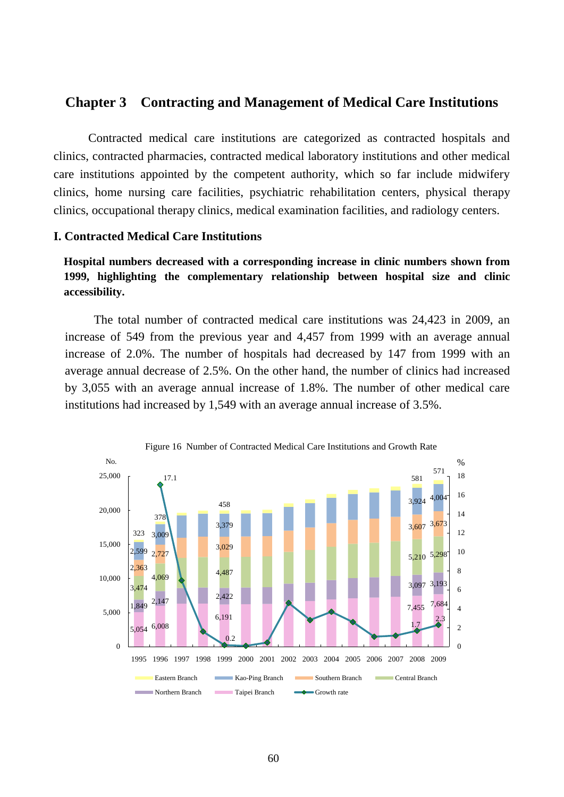## **Chapter 3 Contracting and Management of Medical Care Institutions**

Contracted medical care institutions are categorized as contracted hospitals and clinics, contracted pharmacies, contracted medical laboratory institutions and other medical care institutions appointed by the competent authority, which so far include midwifery clinics, home nursing care facilities, psychiatric rehabilitation centers, physical therapy clinics, occupational therapy clinics, medical examination facilities, and radiology centers.

## **I. Contracted Medical Care Institutions**

**Hospital numbers decreased with a corresponding increase in clinic numbers shown from 1999, highlighting the complementary relationship between hospital size and clinic accessibility.**

The total number of contracted medical care institutions was 24,423 in 2009, an increase of 549 from the previous year and 4,457 from 1999 with an average annual increase of 2.0%. The number of hospitals had decreased by 147 from 1999 with an average annual decrease of 2.5%. On the other hand, the number of clinics had increased by 3,055 with an average annual increase of 1.8%. The number of other medical care institutions had increased by 1,549 with an average annual increase of 3.5%.

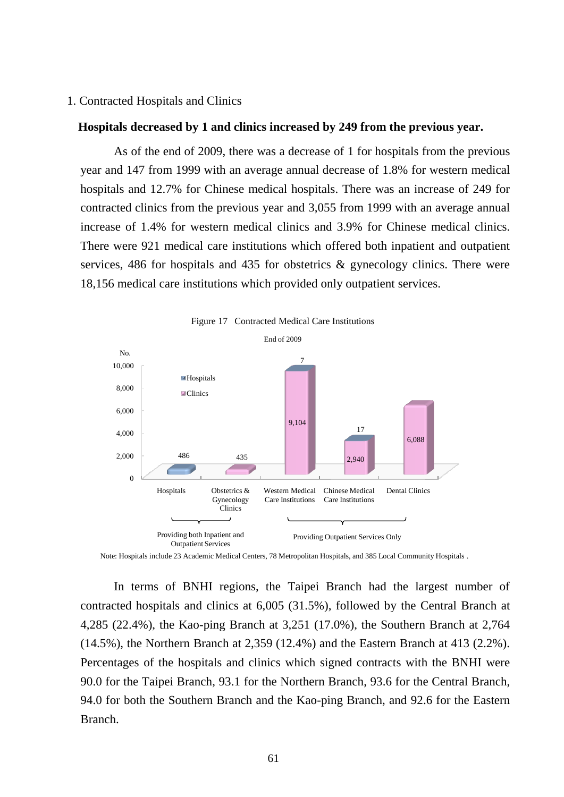## 1. Contracted Hospitals and Clinics

## **Hospitals decreased by 1 and clinics increased by 249 from the previous year.**

As of the end of 2009, there was a decrease of 1 for hospitals from the previous year and 147 from 1999 with an average annual decrease of 1.8% for western medical hospitals and 12.7% for Chinese medical hospitals. There was an increase of 249 for contracted clinics from the previous year and 3,055 from 1999 with an average annual increase of 1.4% for western medical clinics and 3.9% for Chinese medical clinics. There were 921 medical care institutions which offered both inpatient and outpatient services, 486 for hospitals and 435 for obstetrics & gynecology clinics. There were 18,156 medical care institutions which provided only outpatient services.



Note: Hospitals include 23 Academic Medical Centers, 78 Metropolitan Hospitals, and 385 Local Community Hospitals .

In terms of BNHI regions, the Taipei Branch had the largest number of contracted hospitals and clinics at 6,005 (31.5%), followed by the Central Branch at 4,285 (22.4%), the Kao-ping Branch at 3,251 (17.0%), the Southern Branch at 2,764 (14.5%), the Northern Branch at 2,359 (12.4%) and the Eastern Branch at 413 (2.2%). Percentages of the hospitals and clinics which signed contracts with the BNHI were 90.0 for the Taipei Branch, 93.1 for the Northern Branch, 93.6 for the Central Branch, 94.0 for both the Southern Branch and the Kao-ping Branch, and 92.6 for the Eastern Branch.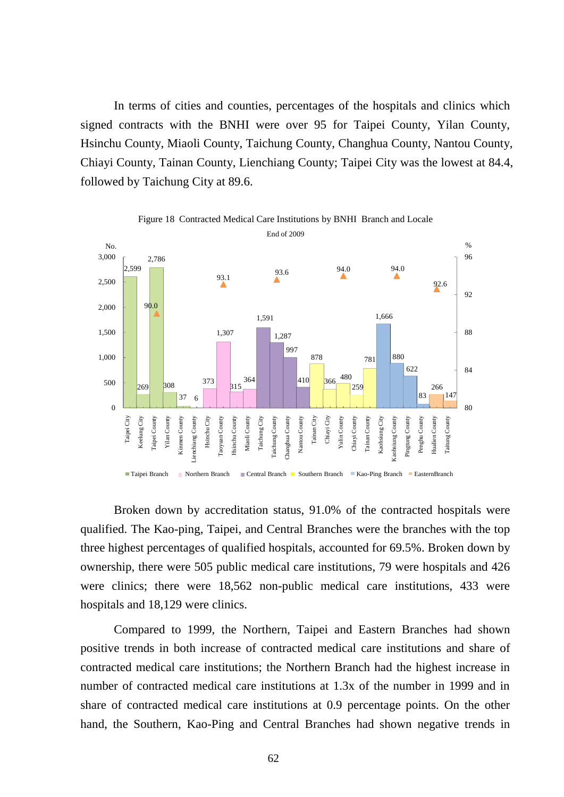In terms of cities and counties, percentages of the hospitals and clinics which signed contracts with the BNHI were over 95 for Taipei County, Yilan County, Hsinchu County, Miaoli County, Taichung County, Changhua County, Nantou County, Chiayi County, Tainan County, Lienchiang County; Taipei City was the lowest at 84.4, followed by Taichung City at 89.6.



Broken down by accreditation status, 91.0% of the contracted hospitals were qualified. The Kao-ping, Taipei, and Central Branches were the branches with the top three highest percentages of qualified hospitals, accounted for 69.5%. Broken down by ownership, there were 505 public medical care institutions, 79 were hospitals and 426 were clinics; there were 18,562 non-public medical care institutions, 433 were hospitals and 18,129 were clinics.

Compared to 1999, the Northern, Taipei and Eastern Branches had shown positive trends in both increase of contracted medical care institutions and share of contracted medical care institutions; the Northern Branch had the highest increase in number of contracted medical care institutions at 1.3x of the number in 1999 and in share of contracted medical care institutions at 0.9 percentage points. On the other hand, the Southern, Kao-Ping and Central Branches had shown negative trends in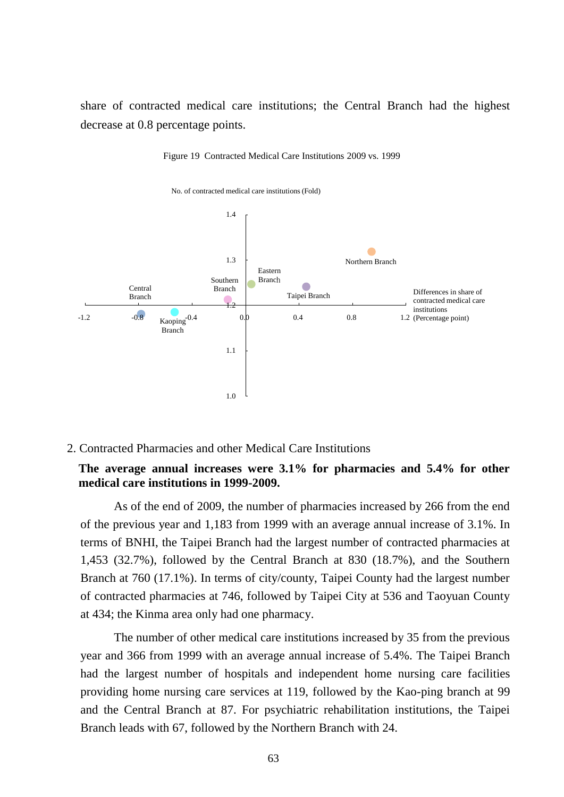share of contracted medical care institutions; the Central Branch had the highest decrease at 0.8 percentage points.



Figure 19 Contracted Medical Care Institutions 2009 vs. 1999

2. Contracted Pharmacies and other Medical Care Institutions

## **The average annual increases were 3.1% for pharmacies and 5.4% for other medical care institutions in 1999-2009.**

As of the end of 2009, the number of pharmacies increased by 266 from the end of the previous year and 1,183 from 1999 with an average annual increase of 3.1%. In terms of BNHI, the Taipei Branch had the largest number of contracted pharmacies at 1,453 (32.7%), followed by the Central Branch at 830 (18.7%), and the Southern Branch at 760 (17.1%). In terms of city/county, Taipei County had the largest number of contracted pharmacies at 746, followed by Taipei City at 536 and Taoyuan County at 434; the Kinma area only had one pharmacy.

The number of other medical care institutions increased by 35 from the previous year and 366 from 1999 with an average annual increase of 5.4%. The Taipei Branch had the largest number of hospitals and independent home nursing care facilities providing home nursing care services at 119, followed by the Kao-ping branch at 99 and the Central Branch at 87. For psychiatric rehabilitation institutions, the Taipei Branch leads with 67, followed by the Northern Branch with 24.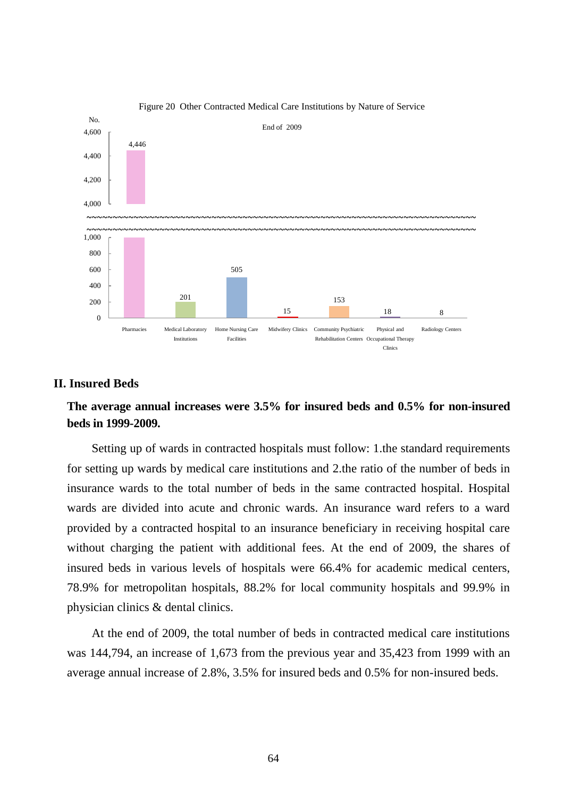

#### Figure 20 Other Contracted Medical Care Institutions by Nature of Service

## **II. Insured Beds**

# **The average annual increases were 3.5% for insured beds and 0.5% for non-insured beds in 1999-2009.**

Setting up of wards in contracted hospitals must follow: 1.the standard requirements for setting up wards by medical care institutions and 2.the ratio of the number of beds in insurance wards to the total number of beds in the same contracted hospital. Hospital wards are divided into acute and chronic wards. An insurance ward refers to a ward provided by a contracted hospital to an insurance beneficiary in receiving hospital care without charging the patient with additional fees. At the end of 2009, the shares of insured beds in various levels of hospitals were 66.4% for academic medical centers, 78.9% for metropolitan hospitals, 88.2% for local community hospitals and 99.9% in physician clinics & dental clinics.

At the end of 2009, the total number of beds in contracted medical care institutions was 144,794, an increase of 1,673 from the previous year and 35,423 from 1999 with an average annual increase of 2.8%, 3.5% for insured beds and 0.5% for non-insured beds.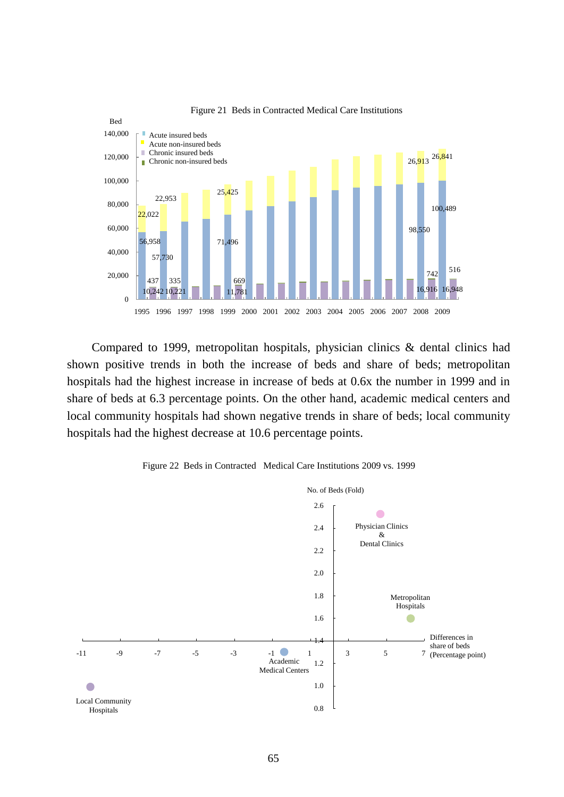

Figure 21 Beds in Contracted Medical Care Institutions

Compared to 1999, metropolitan hospitals, physician clinics & dental clinics had shown positive trends in both the increase of beds and share of beds; metropolitan hospitals had the highest increase in increase of beds at 0.6x the number in 1999 and in share of beds at 6.3 percentage points. On the other hand, academic medical centers and local community hospitals had shown negative trends in share of beds; local community hospitals had the highest decrease at 10.6 percentage points.



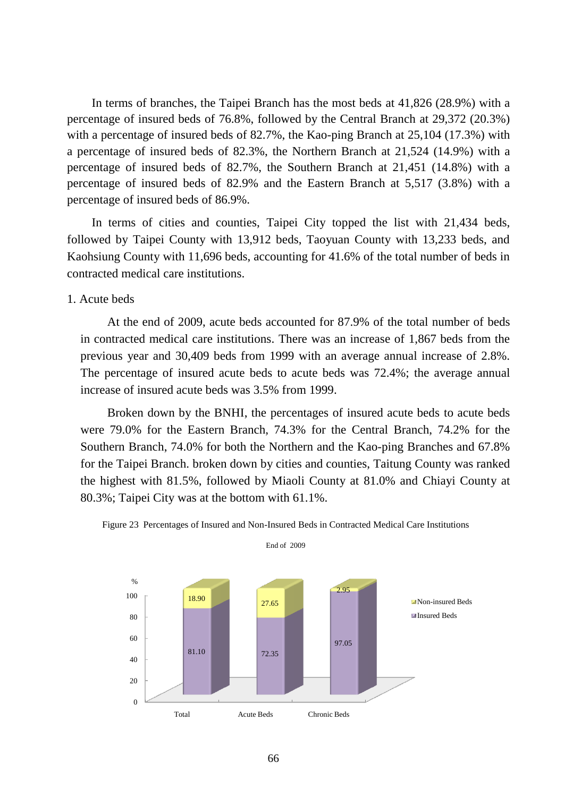In terms of branches, the Taipei Branch has the most beds at 41,826 (28.9%) with a percentage of insured beds of 76.8%, followed by the Central Branch at 29,372 (20.3%) with a percentage of insured beds of 82.7%, the Kao-ping Branch at 25,104 (17.3%) with a percentage of insured beds of 82.3%, the Northern Branch at 21,524 (14.9%) with a percentage of insured beds of 82.7%, the Southern Branch at 21,451 (14.8%) with a percentage of insured beds of 82.9% and the Eastern Branch at 5,517 (3.8%) with a percentage of insured beds of 86.9%.

In terms of cities and counties, Taipei City topped the list with 21,434 beds, followed by Taipei County with 13,912 beds, Taoyuan County with 13,233 beds, and Kaohsiung County with 11,696 beds, accounting for 41.6% of the total number of beds in contracted medical care institutions.

1. Acute beds

At the end of 2009, acute beds accounted for 87.9% of the total number of beds in contracted medical care institutions. There was an increase of 1,867 beds from the previous year and 30,409 beds from 1999 with an average annual increase of 2.8%. The percentage of insured acute beds to acute beds was 72.4%; the average annual increase of insured acute beds was 3.5% from 1999.

Broken down by the BNHI, the percentages of insured acute beds to acute beds were 79.0% for the Eastern Branch, 74.3% for the Central Branch, 74.2% for the Southern Branch, 74.0% for both the Northern and the Kao-ping Branches and 67.8% for the Taipei Branch. broken down by cities and counties, Taitung County was ranked the highest with 81.5%, followed by Miaoli County at 81.0% and Chiayi County at 80.3%; Taipei City was at the bottom with 61.1%.



Figure 23 Percentages of Insured and Non-Insured Beds in Contracted Medical Care Institutions End of 2009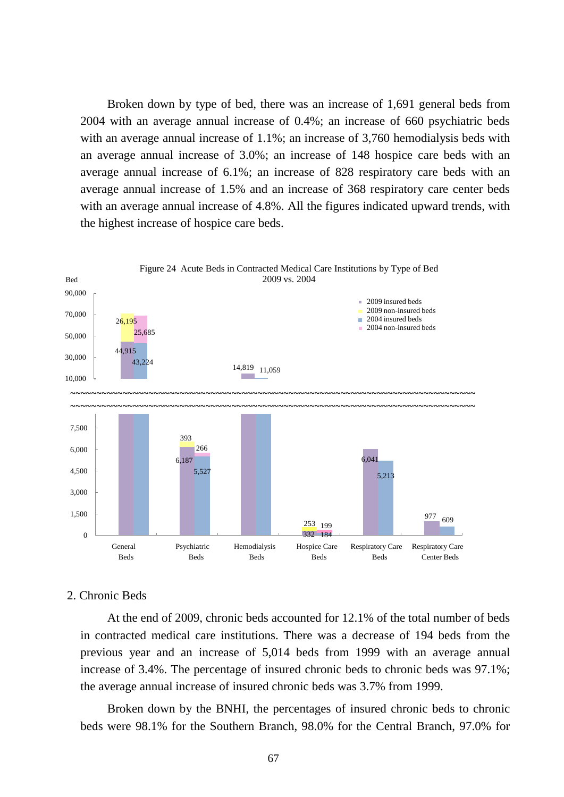Broken down by type of bed, there was an increase of 1,691 general beds from 2004 with an average annual increase of 0.4%; an increase of 660 psychiatric beds with an average annual increase of 1.1%; an increase of 3,760 hemodialysis beds with an average annual increase of 3.0%; an increase of 148 hospice care beds with an average annual increase of 6.1%; an increase of 828 respiratory care beds with an average annual increase of 1.5% and an increase of 368 respiratory care center beds with an average annual increase of 4.8%. All the figures indicated upward trends, with the highest increase of hospice care beds.



### 2. Chronic Beds

At the end of 2009, chronic beds accounted for 12.1% of the total number of beds in contracted medical care institutions. There was a decrease of 194 beds from the previous year and an increase of 5,014 beds from 1999 with an average annual increase of 3.4%. The percentage of insured chronic beds to chronic beds was 97.1%; the average annual increase of insured chronic beds was 3.7% from 1999.

Broken down by the BNHI, the percentages of insured chronic beds to chronic beds were 98.1% for the Southern Branch, 98.0% for the Central Branch, 97.0% for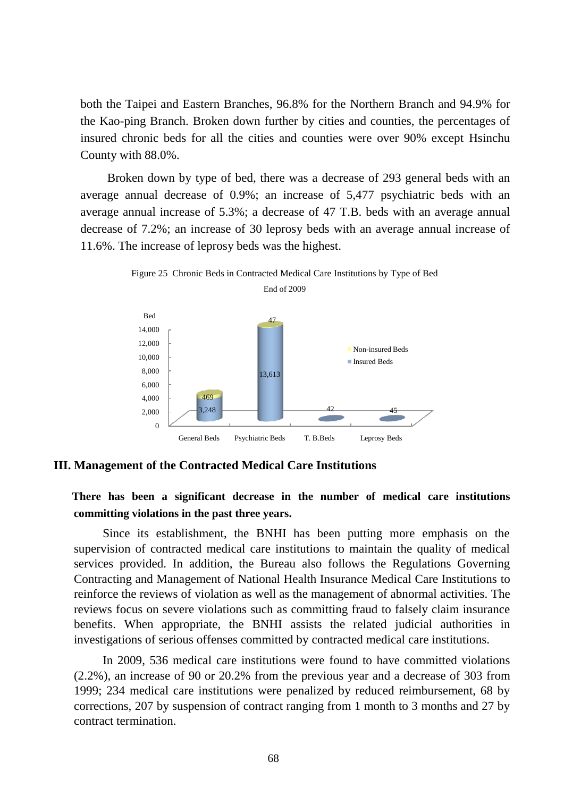both the Taipei and Eastern Branches, 96.8% for the Northern Branch and 94.9% for the Kao-ping Branch. Broken down further by cities and counties, the percentages of insured chronic beds for all the cities and counties were over 90% except Hsinchu County with 88.0%.

Broken down by type of bed, there was a decrease of 293 general beds with an average annual decrease of 0.9%; an increase of 5,477 psychiatric beds with an average annual increase of 5.3%; a decrease of 47 T.B. beds with an average annual decrease of 7.2%; an increase of 30 leprosy beds with an average annual increase of 11.6%. The increase of leprosy beds was the highest.



Figure 25 Chronic Beds in Contracted Medical Care Institutions by Type of Bed

## **III. Management of the Contracted Medical Care Institutions**

 **There has been a significant decrease in the number of medical care institutions committing violations in the past three years.**

Since its establishment, the BNHI has been putting more emphasis on the supervision of contracted medical care institutions to maintain the quality of medical services provided. In addition, the Bureau also follows the Regulations Governing Contracting and Management of National Health Insurance Medical Care Institutions to reinforce the reviews of violation as well as the management of abnormal activities. The reviews focus on severe violations such as committing fraud to falsely claim insurance benefits. When appropriate, the BNHI assists the related judicial authorities in investigations of serious offenses committed by contracted medical care institutions.

In 2009, 536 medical care institutions were found to have committed violations (2.2%), an increase of 90 or 20.2% from the previous year and a decrease of 303 from 1999; 234 medical care institutions were penalized by reduced reimbursement, 68 by corrections, 207 by suspension of contract ranging from 1 month to 3 months and 27 by contract termination.